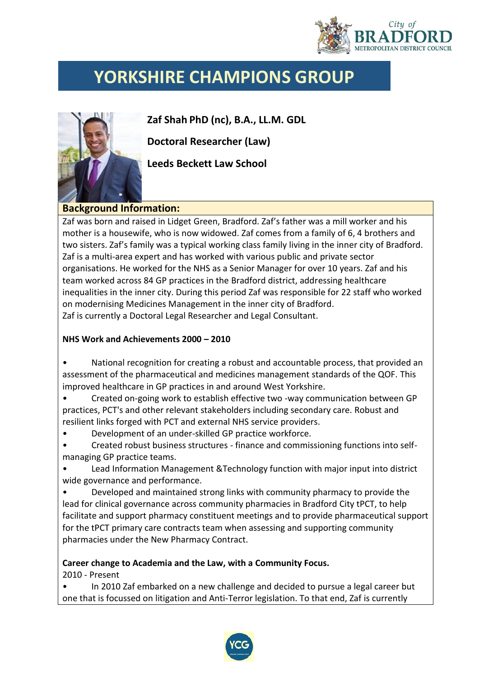

# **YORKSHIRE CHAMPIONS GROUP**

**Zaf Shah PhD (nc), B.A., LL.M. GDL**

**Doctoral Researcher (Law)** 

**Leeds Beckett Law School**

#### **Background Information:**

Zaf was born and raised in Lidget Green, Bradford. Zaf's father was a mill worker and his mother is a housewife, who is now widowed. Zaf comes from a family of 6, 4 brothers and two sisters. Zaf's family was a typical working class family living in the inner city of Bradford. Zaf is a multi-area expert and has worked with various public and private sector organisations. He worked for the NHS as a Senior Manager for over 10 years. Zaf and his team worked across 84 GP practices in the Bradford district, addressing healthcare inequalities in the inner city. During this period Zaf was responsible for 22 staff who worked on modernising Medicines Management in the inner city of Bradford. Zaf is currently a Doctoral Legal Researcher and Legal Consultant.

#### **NHS Work and Achievements 2000 – 2010**

- National recognition for creating a robust and accountable process, that provided an assessment of the pharmaceutical and medicines management standards of the QOF. This improved healthcare in GP practices in and around West Yorkshire.
- Created on-going work to establish effective two -way communication between GP practices, PCT's and other relevant stakeholders including secondary care. Robust and resilient links forged with PCT and external NHS service providers.
- Development of an under-skilled GP practice workforce.
- Created robust business structures finance and commissioning functions into selfmanaging GP practice teams.
- Lead Information Management &Technology function with major input into district wide governance and performance.
- Developed and maintained strong links with community pharmacy to provide the lead for clinical governance across community pharmacies in Bradford City tPCT, to help facilitate and support pharmacy constituent meetings and to provide pharmaceutical support for the tPCT primary care contracts team when assessing and supporting community pharmacies under the New Pharmacy Contract.

### **Career change to Academia and the Law, with a Community Focus.** 2010 - Present

• In 2010 Zaf embarked on a new challenge and decided to pursue a legal career but one that is focussed on litigation and Anti-Terror legislation. To that end, Zaf is currently

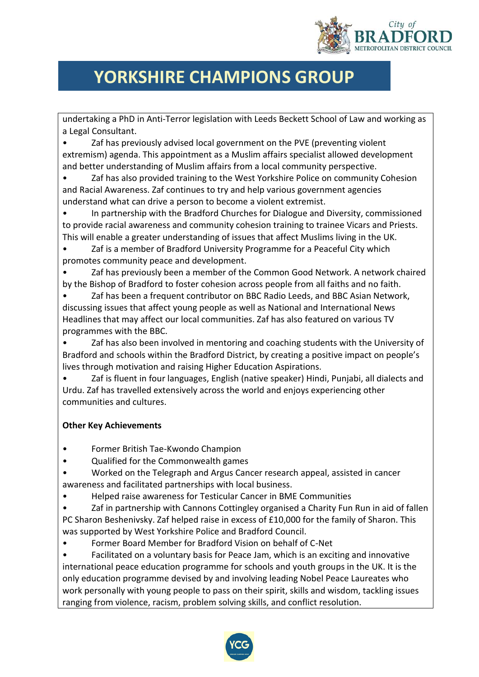

# **YORKSHIRE CHAMPIONS GROUP**

undertaking a PhD in Anti-Terror legislation with Leeds Beckett School of Law and working as a Legal Consultant.

Zaf has previously advised local government on the PVE (preventing violent extremism) agenda. This appointment as a Muslim affairs specialist allowed development and better understanding of Muslim affairs from a local community perspective.

• Zaf has also provided training to the West Yorkshire Police on community Cohesion and Racial Awareness. Zaf continues to try and help various government agencies understand what can drive a person to become a violent extremist.

• In partnership with the Bradford Churches for Dialogue and Diversity, commissioned to provide racial awareness and community cohesion training to trainee Vicars and Priests. This will enable a greater understanding of issues that affect Muslims living in the UK.

• Zaf is a member of Bradford University Programme for a Peaceful City which promotes community peace and development.

• Zaf has previously been a member of the Common Good Network. A network chaired by the Bishop of Bradford to foster cohesion across people from all faiths and no faith.

• Zaf has been a frequent contributor on BBC Radio Leeds, and BBC Asian Network, discussing issues that affect young people as well as National and International News Headlines that may affect our local communities. Zaf has also featured on various TV programmes with the BBC.

Zaf has also been involved in mentoring and coaching students with the University of Bradford and schools within the Bradford District, by creating a positive impact on people's lives through motivation and raising Higher Education Aspirations.

• Zaf is fluent in four languages, English (native speaker) Hindi, Punjabi, all dialects and Urdu. Zaf has travelled extensively across the world and enjoys experiencing other communities and cultures.

### **Other Key Achievements**

- Former British Tae-Kwondo Champion
- Qualified for the Commonwealth games

• Worked on the Telegraph and Argus Cancer research appeal, assisted in cancer awareness and facilitated partnerships with local business.

• Helped raise awareness for Testicular Cancer in BME Communities

Zaf in partnership with Cannons Cottingley organised a Charity Fun Run in aid of fallen PC Sharon Beshenivsky. Zaf helped raise in excess of £10,000 for the family of Sharon. This was supported by West Yorkshire Police and Bradford Council.

• Former Board Member for Bradford Vision on behalf of C-Net

• Facilitated on a voluntary basis for Peace Jam, which is an exciting and innovative international peace education programme for schools and youth groups in the UK. It is the only education programme devised by and involving leading Nobel Peace Laureates who work personally with young people to pass on their spirit, skills and wisdom, tackling issues ranging from violence, racism, problem solving skills, and conflict resolution.